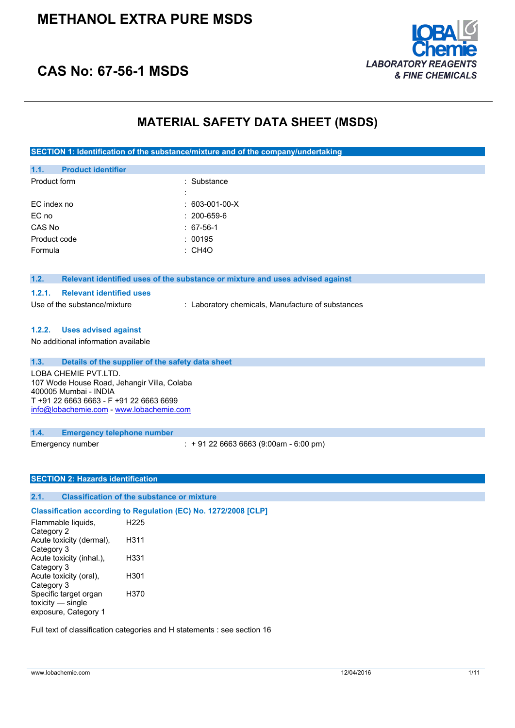

### **CAS No: 67-56-1 MSDS**

### **MATERIAL SAFETY DATA SHEET (MSDS)**

**SECTION 1: Identification of the substance/mixture and of the company/undertaking**

| 1.1.         | <b>Product identifier</b> |                   |
|--------------|---------------------------|-------------------|
| Product form |                           | : Substance       |
|              |                           |                   |
| EC index no  |                           | $: 603-001-00-X$  |
| EC no        |                           | $: 200 - 659 - 6$ |
| CAS No       |                           | : 67-56-1         |
| Product code |                           | : 00195           |
| Formula      |                           | : CH4O            |
|              |                           |                   |

#### **1.2. Relevant identified uses of the substance or mixture and uses advised against**

#### **1.2.1. Relevant identified uses**

Use of the substance/mixture : Laboratory chemicals, Manufacture of substances

#### **1.2.2. Uses advised against**

No additional information available

| 1.3. | Details of the supplier of the safety data sheet                                                                                                                                    |
|------|-------------------------------------------------------------------------------------------------------------------------------------------------------------------------------------|
|      | LOBA CHEMIE PVT.LTD.<br>107 Wode House Road, Jehangir Villa, Colaba<br>400005 Mumbai - INDIA<br>T +91 22 6663 6663 - F +91 22 6663 6699<br>info@lobachemie.com - www.lobachemie.com |
| 1.4. | <b>Emergency telephone number</b>                                                                                                                                                   |

Emergency number : + 91 22 6663 6663 (9:00am - 6:00 pm)

#### **SECTION 2: Hazards identification**

### **2.1. Classification of the substance or mixture**

**Classification according to Regulation (EC) No. 1272/2008 [CLP]** Flammable liquids, Category 2 H225 Acute toxicity (dermal), Category 3 H311 Acute toxicity (inhal.), Category 3 H331 Acute toxicity (oral), Category 3 H301 Specific target organ toxicity — single exposure, Category 1 H370

Full text of classification categories and H statements : see section 16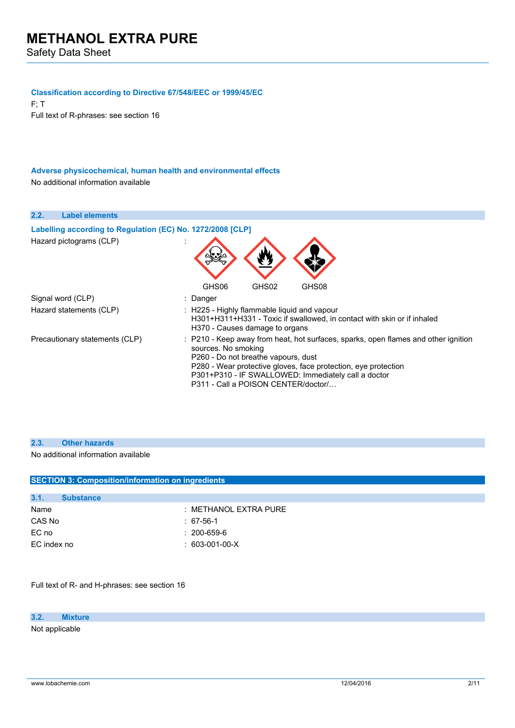#### **Classification according to Directive 67/548/EEC or 1999/45/EC**

F; T Full text of R-phrases: see section 16

**Adverse physicochemical, human health and environmental effects** No additional information available

| 2.2.<br><b>Label elements</b>                              |                                                                                                                                                                                                                                                                                                                  |
|------------------------------------------------------------|------------------------------------------------------------------------------------------------------------------------------------------------------------------------------------------------------------------------------------------------------------------------------------------------------------------|
| Labelling according to Regulation (EC) No. 1272/2008 [CLP] |                                                                                                                                                                                                                                                                                                                  |
| Hazard pictograms (CLP)                                    |                                                                                                                                                                                                                                                                                                                  |
|                                                            | GHS02<br>GHS08<br>GHS06                                                                                                                                                                                                                                                                                          |
| Signal word (CLP)                                          | : Danger                                                                                                                                                                                                                                                                                                         |
| Hazard statements (CLP)                                    | : H225 - Highly flammable liquid and vapour<br>H301+H311+H331 - Toxic if swallowed, in contact with skin or if inhaled<br>H370 - Causes damage to organs                                                                                                                                                         |
| Precautionary statements (CLP)                             | : P210 - Keep away from heat, hot surfaces, sparks, open flames and other ignition<br>sources. No smoking<br>P260 - Do not breathe vapours, dust<br>P280 - Wear protective gloves, face protection, eye protection<br>P301+P310 - IF SWALLOWED: Immediately call a doctor<br>P311 - Call a POISON CENTER/doctor/ |

#### **2.3. Other hazards**

No additional information available

| <b>SECTION 3: Composition/information on ingredients</b> |                                 |  |
|----------------------------------------------------------|---------------------------------|--|
|                                                          |                                 |  |
|                                                          |                                 |  |
|                                                          | : METHANOL EXTRA PURE           |  |
|                                                          | $: 67-56-1$                     |  |
|                                                          | $: 200 - 659 - 6$               |  |
|                                                          | $: 603-001-00-X$                |  |
|                                                          |                                 |  |
|                                                          | <b>Substance</b><br>EC index no |  |

Full text of R- and H-phrases: see section 16

**3.2. Mixture** Not applicable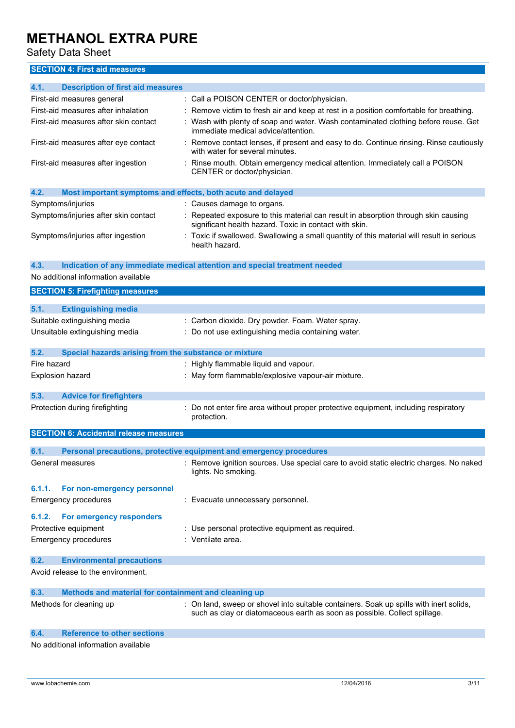Safety Data Sheet

### **SECTION 4: First aid measures**

| 4.1.<br><b>Description of first aid measures</b><br>: Call a POISON CENTER or doctor/physician.<br>First-aid measures general<br>First-aid measures after inhalation<br>: Remove victim to fresh air and keep at rest in a position comfortable for breathing.<br>: Wash with plenty of soap and water. Wash contaminated clothing before reuse. Get<br>First-aid measures after skin contact<br>immediate medical advice/attention.<br>First-aid measures after eye contact<br>Remove contact lenses, if present and easy to do. Continue rinsing. Rinse cautiously<br>with water for several minutes. |  |
|---------------------------------------------------------------------------------------------------------------------------------------------------------------------------------------------------------------------------------------------------------------------------------------------------------------------------------------------------------------------------------------------------------------------------------------------------------------------------------------------------------------------------------------------------------------------------------------------------------|--|
|                                                                                                                                                                                                                                                                                                                                                                                                                                                                                                                                                                                                         |  |
|                                                                                                                                                                                                                                                                                                                                                                                                                                                                                                                                                                                                         |  |
|                                                                                                                                                                                                                                                                                                                                                                                                                                                                                                                                                                                                         |  |
|                                                                                                                                                                                                                                                                                                                                                                                                                                                                                                                                                                                                         |  |
|                                                                                                                                                                                                                                                                                                                                                                                                                                                                                                                                                                                                         |  |
| First-aid measures after ingestion<br>Rinse mouth. Obtain emergency medical attention. Immediately call a POISON<br>CENTER or doctor/physician.                                                                                                                                                                                                                                                                                                                                                                                                                                                         |  |
| 4.2.<br>Most important symptoms and effects, both acute and delayed                                                                                                                                                                                                                                                                                                                                                                                                                                                                                                                                     |  |
| Symptoms/injuries<br>: Causes damage to organs.                                                                                                                                                                                                                                                                                                                                                                                                                                                                                                                                                         |  |
| Symptoms/injuries after skin contact<br>: Repeated exposure to this material can result in absorption through skin causing<br>significant health hazard. Toxic in contact with skin.                                                                                                                                                                                                                                                                                                                                                                                                                    |  |
| Symptoms/injuries after ingestion<br>: Toxic if swallowed. Swallowing a small quantity of this material will result in serious<br>health hazard.                                                                                                                                                                                                                                                                                                                                                                                                                                                        |  |
| 4.3.<br>Indication of any immediate medical attention and special treatment needed                                                                                                                                                                                                                                                                                                                                                                                                                                                                                                                      |  |
| No additional information available                                                                                                                                                                                                                                                                                                                                                                                                                                                                                                                                                                     |  |
| <b>SECTION 5: Firefighting measures</b>                                                                                                                                                                                                                                                                                                                                                                                                                                                                                                                                                                 |  |
| 5.1.<br><b>Extinguishing media</b>                                                                                                                                                                                                                                                                                                                                                                                                                                                                                                                                                                      |  |
| Suitable extinguishing media<br>: Carbon dioxide. Dry powder. Foam. Water spray.                                                                                                                                                                                                                                                                                                                                                                                                                                                                                                                        |  |
| Unsuitable extinguishing media<br>: Do not use extinguishing media containing water.                                                                                                                                                                                                                                                                                                                                                                                                                                                                                                                    |  |
|                                                                                                                                                                                                                                                                                                                                                                                                                                                                                                                                                                                                         |  |
| 5.2.<br>Special hazards arising from the substance or mixture                                                                                                                                                                                                                                                                                                                                                                                                                                                                                                                                           |  |
| Fire hazard<br>: Highly flammable liquid and vapour.                                                                                                                                                                                                                                                                                                                                                                                                                                                                                                                                                    |  |
| Explosion hazard<br>: May form flammable/explosive vapour-air mixture.                                                                                                                                                                                                                                                                                                                                                                                                                                                                                                                                  |  |
|                                                                                                                                                                                                                                                                                                                                                                                                                                                                                                                                                                                                         |  |
| 5.3.<br><b>Advice for firefighters</b>                                                                                                                                                                                                                                                                                                                                                                                                                                                                                                                                                                  |  |
| Protection during firefighting<br>Do not enter fire area without proper protective equipment, including respiratory<br>protection.                                                                                                                                                                                                                                                                                                                                                                                                                                                                      |  |
| <b>SECTION 6: Accidental release measures</b>                                                                                                                                                                                                                                                                                                                                                                                                                                                                                                                                                           |  |
|                                                                                                                                                                                                                                                                                                                                                                                                                                                                                                                                                                                                         |  |
|                                                                                                                                                                                                                                                                                                                                                                                                                                                                                                                                                                                                         |  |
| 6.1.<br>Personal precautions, protective equipment and emergency procedures                                                                                                                                                                                                                                                                                                                                                                                                                                                                                                                             |  |
| : Remove ignition sources. Use special care to avoid static electric charges. No naked<br>General measures<br>lights. No smoking.                                                                                                                                                                                                                                                                                                                                                                                                                                                                       |  |
|                                                                                                                                                                                                                                                                                                                                                                                                                                                                                                                                                                                                         |  |
| 6.1.1.<br>For non-emergency personnel                                                                                                                                                                                                                                                                                                                                                                                                                                                                                                                                                                   |  |
| <b>Emergency procedures</b><br>: Evacuate unnecessary personnel.                                                                                                                                                                                                                                                                                                                                                                                                                                                                                                                                        |  |
| For emergency responders<br>6.1.2.                                                                                                                                                                                                                                                                                                                                                                                                                                                                                                                                                                      |  |
| Protective equipment<br>: Use personal protective equipment as required.                                                                                                                                                                                                                                                                                                                                                                                                                                                                                                                                |  |
| : Ventilate area.<br><b>Emergency procedures</b>                                                                                                                                                                                                                                                                                                                                                                                                                                                                                                                                                        |  |
| 6.2.<br><b>Environmental precautions</b>                                                                                                                                                                                                                                                                                                                                                                                                                                                                                                                                                                |  |
| Avoid release to the environment.                                                                                                                                                                                                                                                                                                                                                                                                                                                                                                                                                                       |  |
| Methods and material for containment and cleaning up<br>6.3.                                                                                                                                                                                                                                                                                                                                                                                                                                                                                                                                            |  |

#### **6.4. Reference to other sections**

No additional information available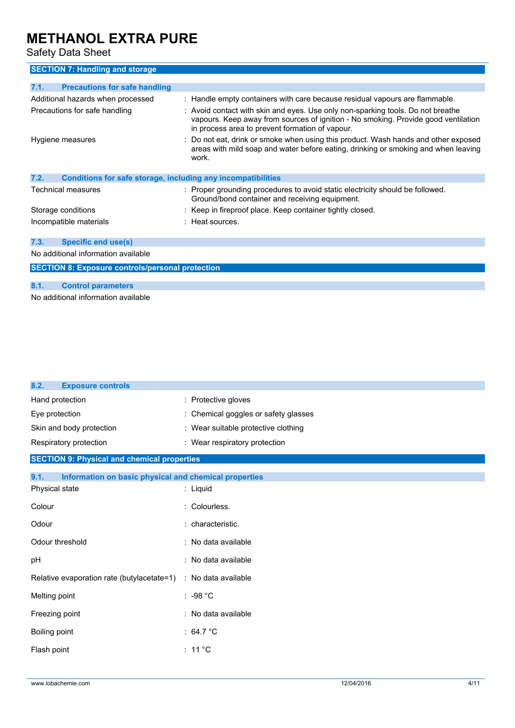Safety Data Sheet

### **SECTION 7: Handling and storage**

| 7.1.                          | <b>Precautions for safe handling</b>                         |  |                                                                                                                                                                                                                          |
|-------------------------------|--------------------------------------------------------------|--|--------------------------------------------------------------------------------------------------------------------------------------------------------------------------------------------------------------------------|
|                               | Additional hazards when processed                            |  | : Handle empty containers with care because residual vapours are flammable.                                                                                                                                              |
| Precautions for safe handling |                                                              |  | : Avoid contact with skin and eyes. Use only non-sparking tools. Do not breathe<br>vapours. Keep away from sources of ignition - No smoking. Provide good ventilation<br>in process area to prevent formation of vapour. |
|                               | Hygiene measures                                             |  | Do not eat, drink or smoke when using this product. Wash hands and other exposed<br>areas with mild soap and water before eating, drinking or smoking and when leaving<br>work.                                          |
| 7.2.                          | Conditions for safe storage, including any incompatibilities |  |                                                                                                                                                                                                                          |
|                               | Technical measures                                           |  | : Proper grounding procedures to avoid static electricity should be followed.<br>Ground/bond container and receiving equipment.                                                                                          |
| Storage conditions            |                                                              |  | : Keep in fireproof place. Keep container tightly closed.                                                                                                                                                                |
|                               | Incompatible materials                                       |  | $:$ Heat sources.                                                                                                                                                                                                        |
| 7.3.                          | <b>Specific end use(s)</b>                                   |  |                                                                                                                                                                                                                          |
|                               | No additional information available                          |  |                                                                                                                                                                                                                          |
|                               | <b>SECTION 8: Exposure controls/personal protection</b>      |  |                                                                                                                                                                                                                          |
|                               |                                                              |  |                                                                                                                                                                                                                          |
| 8.1.                          | <b>Control parameters</b>                                    |  |                                                                                                                                                                                                                          |

No additional information available

| 8.2.<br><b>Exposure controls</b>                               |                                      |
|----------------------------------------------------------------|--------------------------------------|
| Hand protection                                                | : Protective gloves                  |
| Eye protection                                                 | : Chemical goggles or safety glasses |
| Skin and body protection                                       | : Wear suitable protective clothing  |
| Respiratory protection                                         | : Wear respiratory protection        |
| <b>SECTION 9: Physical and chemical properties</b>             |                                      |
| 9.1.<br>Information on basic physical and chemical properties  |                                      |
| Physical state                                                 | : Liquid                             |
| Colour                                                         | Colourless.                          |
| Odour                                                          | characteristic.                      |
| Odour threshold                                                | : No data available                  |
| pH                                                             | : No data available                  |
| Relative evaporation rate (butylacetate=1) : No data available |                                      |
| Melting point                                                  | $: -98 °C$                           |
| Freezing point                                                 | : No data available                  |
| Boiling point                                                  | : $64.7^{\circ}$ C                   |
| Flash point                                                    | : 11 $^{\circ}$ C                    |
|                                                                |                                      |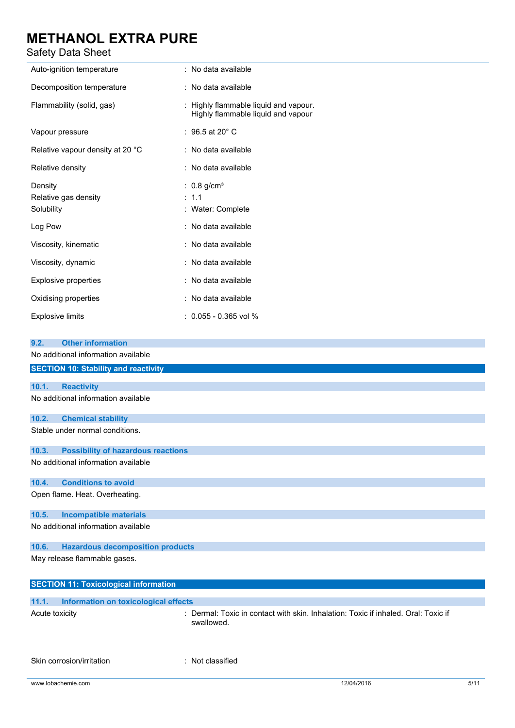| JUILLY DULU UIILLI                                                                        |                                                                                                |
|-------------------------------------------------------------------------------------------|------------------------------------------------------------------------------------------------|
| Auto-ignition temperature                                                                 | : No data available                                                                            |
| Decomposition temperature                                                                 | : No data available                                                                            |
| Flammability (solid, gas)                                                                 | Highly flammable liquid and vapour.<br>Highly flammable liquid and vapour                      |
| Vapour pressure                                                                           | : $96.5$ at 20 $^{\circ}$ C                                                                    |
| Relative vapour density at 20 °C                                                          | : No data available                                                                            |
| Relative density                                                                          | : No data available                                                                            |
| Density<br>Relative gas density<br>Solubility                                             | : $0.8$ g/cm <sup>3</sup><br>: 1.1<br>Water: Complete<br>÷                                     |
| Log Pow                                                                                   | : No data available                                                                            |
| Viscosity, kinematic                                                                      | : No data available                                                                            |
| Viscosity, dynamic                                                                        | : No data available                                                                            |
| <b>Explosive properties</b>                                                               | : No data available                                                                            |
| Oxidising properties                                                                      | : No data available                                                                            |
| <b>Explosive limits</b>                                                                   | : 0.055 - 0.365 vol %                                                                          |
| <b>Other information</b><br>9.2.                                                          |                                                                                                |
| No additional information available                                                       |                                                                                                |
| <b>SECTION 10: Stability and reactivity</b>                                               |                                                                                                |
| 10.1.<br><b>Reactivity</b>                                                                |                                                                                                |
| No additional information available                                                       |                                                                                                |
| 10.2.<br><b>Chemical stability</b>                                                        |                                                                                                |
| Stable under normal conditions.                                                           |                                                                                                |
| 10.3.<br><b>Possibility of hazardous reactions</b><br>No additional information available |                                                                                                |
| <b>Conditions to avoid</b><br>10.4.                                                       |                                                                                                |
| Open flame. Heat. Overheating.                                                            |                                                                                                |
| 10.5.<br><b>Incompatible materials</b>                                                    |                                                                                                |
| No additional information available                                                       |                                                                                                |
| <b>Hazardous decomposition products</b><br>10.6.                                          |                                                                                                |
| May release flammable gases.                                                              |                                                                                                |
| <b>SECTION 11: Toxicological information</b>                                              |                                                                                                |
| <b>Information on toxicological effects</b><br>11.1.                                      |                                                                                                |
| Acute toxicity                                                                            | Dermal: Toxic in contact with skin. Inhalation: Toxic if inhaled. Oral: Toxic if<br>swallowed. |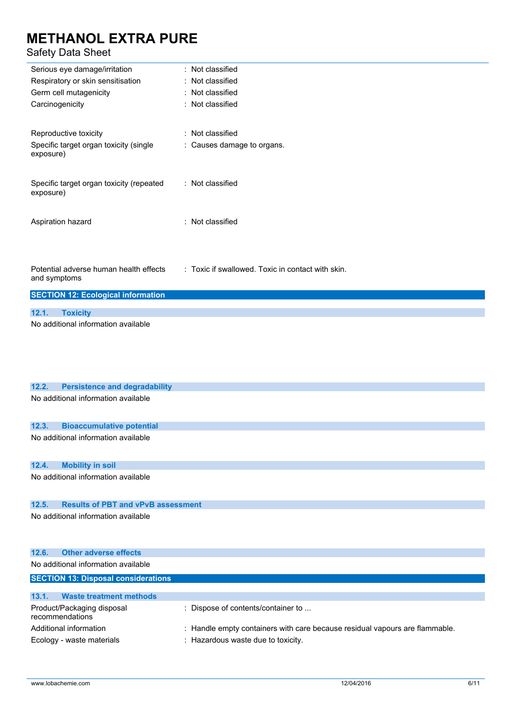| ouiuty Dutu Uniut                                               |                                                   |
|-----------------------------------------------------------------|---------------------------------------------------|
| Serious eye damage/irritation                                   | Not classified                                    |
| Respiratory or skin sensitisation                               | Not classified                                    |
| Germ cell mutagenicity                                          | Not classified                                    |
| Carcinogenicity                                                 | : Not classified                                  |
| Reproductive toxicity                                           | : Not classified                                  |
| Specific target organ toxicity (single<br>exposure)             | : Causes damage to organs.                        |
| Specific target organ toxicity (repeated<br>exposure)           | : Not classified                                  |
| Aspiration hazard                                               | : Not classified                                  |
| Potential adverse human health effects<br>and symptoms          | : Toxic if swallowed. Toxic in contact with skin. |
| <b>SECTION 12: Ecological information</b>                       |                                                   |
|                                                                 |                                                   |
| <b>Toxicity</b><br>12.1.<br>No additional information available |                                                   |
|                                                                 |                                                   |
| <b>Persistence and degradability</b><br>12.2.                   |                                                   |
| No additional information available                             |                                                   |
|                                                                 |                                                   |
| <b>Bioaccumulative potential</b><br>12.3.                       |                                                   |
| No additional information available                             |                                                   |
| <b>Mobility in soil</b><br>12.4.                                |                                                   |
| No additional information available                             |                                                   |
| <b>Results of PBT and vPvB assessment</b><br>12.5.              |                                                   |
| No additional information available                             |                                                   |
| <b>Other adverse effects</b><br>12.6.                           |                                                   |
| No additional information available                             |                                                   |

| <b>SECTION 13: Disposal considerations</b>    |                                                                             |  |
|-----------------------------------------------|-----------------------------------------------------------------------------|--|
| 13.1.<br><b>Waste treatment methods</b>       |                                                                             |  |
| Product/Packaging disposal<br>recommendations | $\therefore$ Dispose of contents/container to $\ldots$                      |  |
| Additional information                        | : Handle empty containers with care because residual vapours are flammable. |  |
| Ecology - waste materials                     | : Hazardous waste due to toxicity.                                          |  |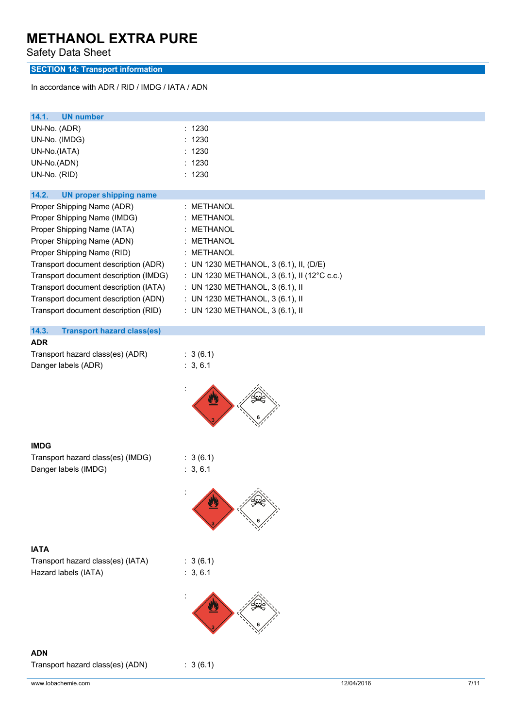Safety Data Sheet

### **SECTION 14: Transport information**

In accordance with ADR / RID / IMDG / IATA / ADN

| 14.1.<br><b>UN number</b><br>UN-No. (ADR)                  | : 1230                                      |
|------------------------------------------------------------|---------------------------------------------|
| UN-No. (IMDG)                                              | 1230                                        |
| UN-No.(IATA)                                               | 1230                                        |
| UN-No.(ADN)                                                | : 1230<br>: 1230                            |
| UN-No. (RID)                                               |                                             |
| 14.2.<br><b>UN proper shipping name</b>                    |                                             |
| Proper Shipping Name (ADR)                                 | : METHANOL                                  |
| Proper Shipping Name (IMDG)<br>Proper Shipping Name (IATA) | <b>METHANOL</b><br><b>METHANOL</b>          |
| Proper Shipping Name (ADN)                                 | ÷<br>METHANOL<br>÷                          |
| Proper Shipping Name (RID)                                 | : METHANOL                                  |
| Transport document description (ADR)                       | : UN 1230 METHANOL, 3 (6.1), II, (D/E)      |
| Transport document description (IMDG)                      | : UN 1230 METHANOL, 3 (6.1), II (12°C c.c.) |
| Transport document description (IATA)                      | : UN 1230 METHANOL, 3 (6.1), II             |
| Transport document description (ADN)                       | : UN 1230 METHANOL, 3 (6.1), II             |
| Transport document description (RID)                       | : UN 1230 METHANOL, 3 (6.1), II             |
| 14.3.<br><b>Transport hazard class(es)</b>                 |                                             |
| <b>ADR</b>                                                 |                                             |
| Transport hazard class(es) (ADR)<br>Danger labels (ADR)    | : 3(6.1)<br>: 3, 6.1                        |
|                                                            |                                             |
|                                                            |                                             |
| <b>IMDG</b>                                                |                                             |
| Transport hazard class(es) (IMDG)                          | : 3(6.1)                                    |
| Danger labels (IMDG)                                       | : 3, 6.1                                    |
|                                                            |                                             |
| <b>IATA</b>                                                |                                             |
| Transport hazard class(es) (IATA)                          | : 3(6.1)                                    |
| Hazard labels (IATA)                                       | : 3, 6.1                                    |
|                                                            |                                             |
|                                                            |                                             |
| <b>ADN</b>                                                 |                                             |
| Transport hazard class(es) (ADN)                           | : 3(6.1)                                    |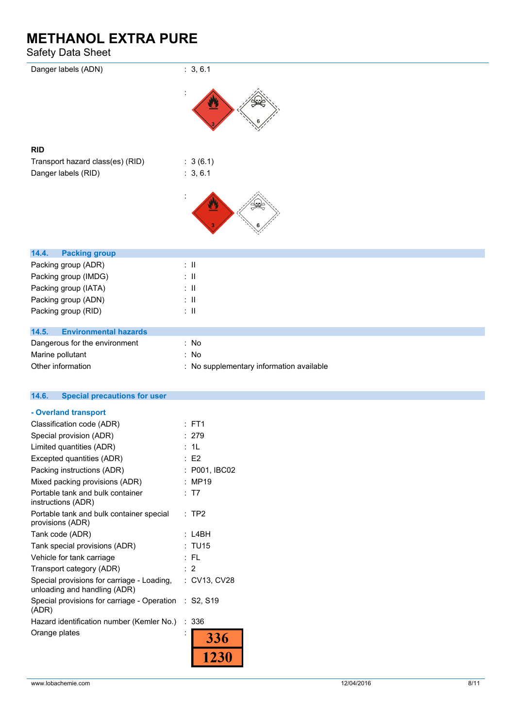| ----                                                    |                                          |
|---------------------------------------------------------|------------------------------------------|
| Danger labels (ADN)                                     | : 3, 6.1                                 |
|                                                         |                                          |
| <b>RID</b>                                              |                                          |
| Transport hazard class(es) (RID)<br>Danger labels (RID) | : 3(6.1)<br>: 3, 6.1                     |
|                                                         |                                          |
| 14.4.<br><b>Packing group</b>                           |                                          |
| Packing group (ADR)                                     | $\pm$ 11                                 |
| Packing group (IMDG)                                    | $\therefore$ II                          |
| Packing group (IATA)                                    | $\therefore$ II                          |
| Packing group (ADN)                                     | $\therefore$ II                          |
| Packing group (RID)                                     | $\therefore$ II                          |
| 14.5.<br><b>Environmental hazards</b>                   |                                          |
| Dangerous for the environment                           | : No                                     |
| Marine pollutant                                        | : No                                     |
| Other information                                       | : No supplementary information available |
| <b>Special precautions for user</b><br>14.6.            |                                          |
| - Overland transport                                    |                                          |
| Classification code (ADR)                               | $:$ FT1                                  |
| Special provision (ADR)                                 | : 279                                    |
| $I$ imited quantities $(ADR)$                           | $\cdot$ 11                               |

| Special provision (ADR)                                                    | 21 Y          |
|----------------------------------------------------------------------------|---------------|
| Limited quantities (ADR)                                                   | : 1L          |
| Excepted quantities (ADR)                                                  | E2            |
| Packing instructions (ADR)                                                 | : P001, IBC02 |
| Mixed packing provisions (ADR)                                             | <b>MP19</b>   |
| Portable tank and bulk container<br>instructions (ADR)                     | : T7          |
| Portable tank and bulk container special<br>provisions (ADR)               | : TP2         |
| Tank code (ADR)                                                            | L4BH          |
| Tank special provisions (ADR)                                              | : TU15        |
| Vehicle for tank carriage                                                  | : FL          |
| Transport category (ADR)                                                   | : 2           |
| Special provisions for carriage - Loading,<br>unloading and handling (ADR) | : CV13, CV28  |
| Special provisions for carriage - Operation : S2, S19<br>(ADR)             |               |
| Hazard identification number (Kemler No.)                                  | :336          |
| Orange plates                                                              | 336           |
|                                                                            |               |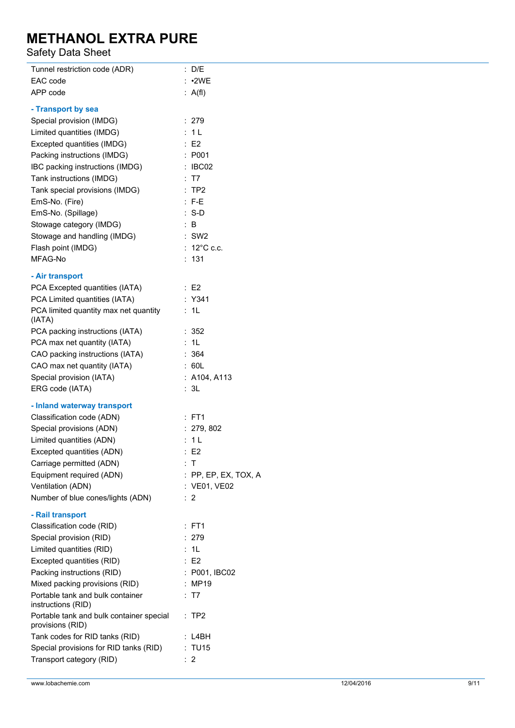| Tunnel restriction code (ADR)            | : D/E                  |
|------------------------------------------|------------------------|
| EAC code                                 | : •2WE                 |
| APP code                                 | : A(f)                 |
| - Transport by sea                       |                        |
| Special provision (IMDG)                 | : 279                  |
| Limited quantities (IMDG)                | : 1L                   |
| Excepted quantities (IMDG)               | E2                     |
| Packing instructions (IMDG)              | : P001                 |
| IBC packing instructions (IMDG)          | $\therefore$ IBC02     |
| Tank instructions (IMDG)                 | : T7                   |
| Tank special provisions (IMDG)           | :TP2                   |
| EmS-No. (Fire)                           | $: F-E$                |
| EmS-No. (Spillage)                       | $: S-D$                |
|                                          |                        |
| Stowage category (IMDG)                  | : B                    |
| Stowage and handling (IMDG)              | $:$ SW2                |
| Flash point (IMDG)                       | : $12^{\circ}$ C c.c.  |
| MFAG-No                                  | ÷<br>131               |
| - Air transport                          |                        |
| PCA Excepted quantities (IATA)           | $\therefore$ E2        |
| PCA Limited quantities (IATA)            | : Y341                 |
| PCA limited quantity max net quantity    | : 1L                   |
| (IATA)                                   |                        |
| PCA packing instructions (IATA)          | : 352                  |
| PCA max net quantity (IATA)              | : 1L                   |
| CAO packing instructions (IATA)          | : 364                  |
| CAO max net quantity (IATA)              | 60L<br>÷.              |
| Special provision (IATA)                 | : A104, A113           |
| ERG code (IATA)                          | : 3L                   |
| - Inland waterway transport              |                        |
| Classification code (ADN)                | $:$ FT1                |
| Special provisions (ADN)                 | : 279,802              |
| Limited quantities (ADN)                 | : 1L                   |
| Excepted quantities (ADN)                | : E2                   |
|                                          | $\pm$ T                |
| Carriage permitted (ADN)                 |                        |
| Equipment required (ADN)                 | $:$ PP, EP, EX, TOX, A |
| Ventilation (ADN)                        | : VE01, VE02           |
| Number of blue cones/lights (ADN)        | : 2                    |
| - Rail transport                         |                        |
| Classification code (RID)                | : FT1                  |
| Special provision (RID)                  | : 279                  |
| Limited quantities (RID)                 | : 1L                   |
| Excepted quantities (RID)                | E2                     |
| Packing instructions (RID)               | : P001, IBC02          |
| Mixed packing provisions (RID)           | : MP19                 |
| Portable tank and bulk container         | : T7                   |
| instructions (RID)                       |                        |
| Portable tank and bulk container special | $:$ TP2                |
| provisions (RID)                         |                        |
| Tank codes for RID tanks (RID)           | : L4BH                 |
| Special provisions for RID tanks (RID)   | : TU15                 |
| Transport category (RID)                 | $\therefore$ 2         |
|                                          |                        |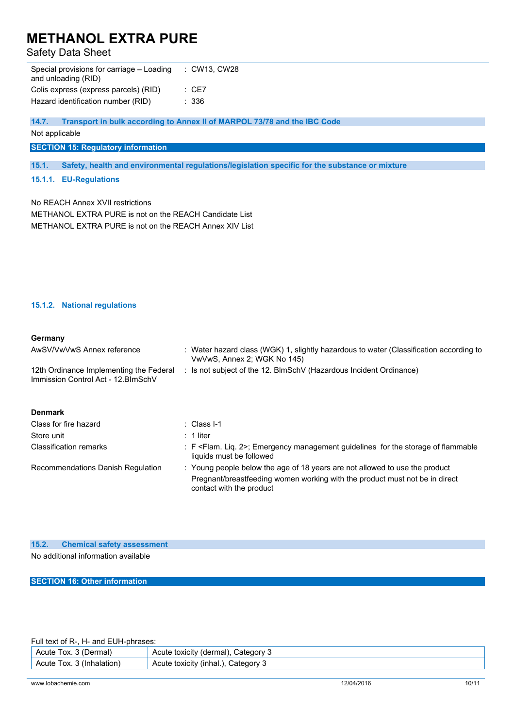### Safety Data Sheet

| Special provisions for carriage – Loading<br>and unloading (RID) | : CW13. CW28 |
|------------------------------------------------------------------|--------------|
| Colis express (express parcels) (RID)                            | CE7          |
| Hazard identification number (RID)                               | - 336        |
|                                                                  |              |

**14.7. Transport in bulk according to Annex II of MARPOL 73/78 and the IBC Code**

Not applicable

**SECTION 15: Regulatory information**

**15.1. Safety, health and environmental regulations/legislation specific for the substance or mixture**

#### **15.1.1. EU-Regulations**

No REACH Annex XVII restrictions

METHANOL EXTRA PURE is not on the REACH Candidate List METHANOL EXTRA PURE is not on the REACH Annex XIV List

#### **15.1.2. National regulations**

#### **Germany**

| AwSV/VwVwS Annex reference                                                     | : Water hazard class (WGK) 1, slightly hazardous to water (Classification according to<br>VwVwS, Annex 2; WGK No 145)       |
|--------------------------------------------------------------------------------|-----------------------------------------------------------------------------------------------------------------------------|
| 12th Ordinance Implementing the Federal<br>Immission Control Act - 12. BlmSchV | : Is not subject of the 12. BlmSchV (Hazardous Incident Ordinance)                                                          |
| <b>Denmark</b>                                                                 |                                                                                                                             |
| Class for fire hazard                                                          | $\therefore$ Class I-1                                                                                                      |
| Store unit                                                                     | $\pm$ 1 liter                                                                                                               |
| <b>Classification remarks</b>                                                  | : F <flam. 2="" liq.="">; Emergency management guidelines for the storage of flammable<br/>liquids must be followed</flam.> |
| Recommendations Danish Regulation                                              | : Young people below the age of 18 years are not allowed to use the product                                                 |
|                                                                                | Pregnant/breastfeeding women working with the product must not be in direct<br>contact with the product                     |

#### **15.2. Chemical safety assessment**

No additional information available

**SECTION 16: Other information**

Full text of R-, H- and EUH-phrases:

| ∖Dermal.<br>Acute<br>'ox.         | شcategory<br>toxicity<br>Acute<br>`rmal),<br>(der<br>. .                  |
|-----------------------------------|---------------------------------------------------------------------------|
| Acute<br>(Inh<br>nalation<br>'ox. | ∵ateɑorv.<br>. unha <sub>u</sub> ) <sup>ر</sup><br>toxicity<br>Acute<br>ັ |